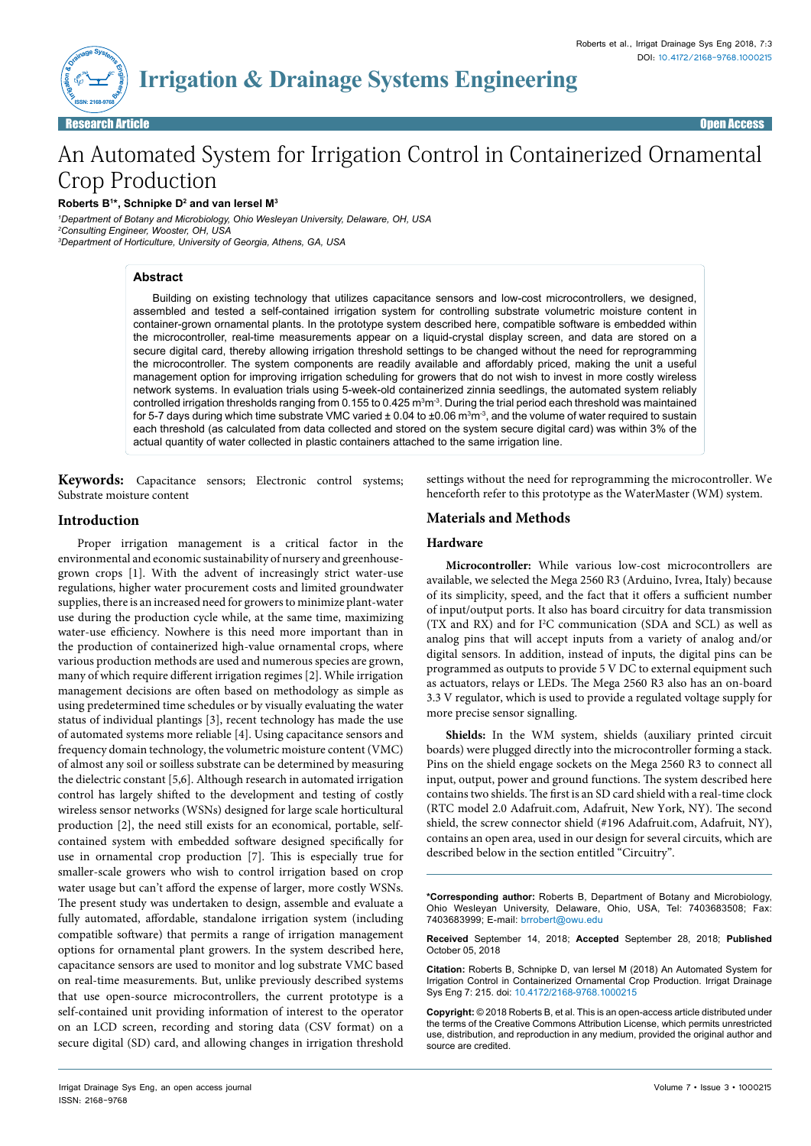

# An Automated System for Irrigation Control in Containerized Ornamental Crop Production

**Roberts B1 \*, Schnipke D2 and van Iersel M3**

*1 Department of Botany and Microbiology, Ohio Wesleyan University, Delaware, OH, USA 2 Consulting Engineer, Wooster, OH, USA 3 Department of Horticulture, University of Georgia, Athens, GA, USA*

# **Abstract**

Building on existing technology that utilizes capacitance sensors and low-cost microcontrollers, we designed, assembled and tested a self-contained irrigation system for controlling substrate volumetric moisture content in container-grown ornamental plants. In the prototype system described here, compatible software is embedded within the microcontroller, real-time measurements appear on a liquid-crystal display screen, and data are stored on a secure digital card, thereby allowing irrigation threshold settings to be changed without the need for reprogramming the microcontroller. The system components are readily available and affordably priced, making the unit a useful management option for improving irrigation scheduling for growers that do not wish to invest in more costly wireless network systems. In evaluation trials using 5-week-old containerized zinnia seedlings, the automated system reliably controlled irrigation thresholds ranging from 0.155 to 0.425 m<sup>3</sup>m<sup>3</sup>. During the trial period each threshold was maintained for 5-7 days during which time substrate VMC varied ± 0.04 to ±0.06 m $^3$ m $^3$ , and the volume of water required to sustain each threshold (as calculated from data collected and stored on the system secure digital card) was within 3% of the actual quantity of water collected in plastic containers attached to the same irrigation line.

**Keywords:** Capacitance sensors; Electronic control systems; Substrate moisture content

# **Introduction**

Proper irrigation management is a critical factor in the environmental and economic sustainability of nursery and greenhousegrown crops [1]. With the advent of increasingly strict water-use regulations, higher water procurement costs and limited groundwater supplies, there is an increased need for growers to minimize plant-water use during the production cycle while, at the same time, maximizing water-use efficiency. Nowhere is this need more important than in the production of containerized high-value ornamental crops, where various production methods are used and numerous species are grown, many of which require different irrigation regimes [2]. While irrigation management decisions are often based on methodology as simple as using predetermined time schedules or by visually evaluating the water status of individual plantings [3], recent technology has made the use of automated systems more reliable [4]. Using capacitance sensors and frequency domain technology, the volumetric moisture content (VMC) of almost any soil or soilless substrate can be determined by measuring the dielectric constant [5,6]. Although research in automated irrigation control has largely shifted to the development and testing of costly wireless sensor networks (WSNs) designed for large scale horticultural production [2], the need still exists for an economical, portable, selfcontained system with embedded software designed specifically for use in ornamental crop production [7]. This is especially true for smaller-scale growers who wish to control irrigation based on crop water usage but can't afford the expense of larger, more costly WSNs. The present study was undertaken to design, assemble and evaluate a fully automated, affordable, standalone irrigation system (including compatible software) that permits a range of irrigation management options for ornamental plant growers. In the system described here, capacitance sensors are used to monitor and log substrate VMC based on real-time measurements. But, unlike previously described systems that use open-source microcontrollers, the current prototype is a self-contained unit providing information of interest to the operator on an LCD screen, recording and storing data (CSV format) on a secure digital (SD) card, and allowing changes in irrigation threshold

settings without the need for reprogramming the microcontroller. We henceforth refer to this prototype as the WaterMaster (WM) system.

# **Materials and Methods**

### **Hardware**

**Microcontroller:** While various low-cost microcontrollers are available, we selected the Mega 2560 R3 (Arduino, Ivrea, Italy) because of its simplicity, speed, and the fact that it offers a sufficient number of input/output ports. It also has board circuitry for data transmission (TX and RX) and for I2 C communication (SDA and SCL) as well as analog pins that will accept inputs from a variety of analog and/or digital sensors. In addition, instead of inputs, the digital pins can be programmed as outputs to provide 5 V DC to external equipment such as actuators, relays or LEDs. The Mega 2560 R3 also has an on-board 3.3 V regulator, which is used to provide a regulated voltage supply for more precise sensor signalling.

**Shields:** In the WM system, shields (auxiliary printed circuit boards) were plugged directly into the microcontroller forming a stack. Pins on the shield engage sockets on the Mega 2560 R3 to connect all input, output, power and ground functions. The system described here contains two shields. The first is an SD card shield with a real-time clock (RTC model 2.0 Adafruit.com, Adafruit, New York, NY). The second shield, the screw connector shield (#196 Adafruit.com, Adafruit, NY), contains an open area, used in our design for several circuits, which are described below in the section entitled "Circuitry".

**\*Corresponding author:** Roberts B, Department of Botany and Microbiology, Ohio Wesleyan University, Delaware, Ohio, USA, Tel: 7403683508; Fax: 7403683999; E-mail: brrobert@owu.edu

**Received** September 14, 2018; **Accepted** September 28, 2018; **Published** October 05, 2018

**Citation:** Roberts B, Schnipke D, van Iersel M (2018) An Automated System for Irrigation Control in Containerized Ornamental Crop Production. Irrigat Drainage Sys Eng 7: 215. doi: 10.4172/2168-9768.1000215

**Copyright:** © 2018 Roberts B, et al. This is an open-access article distributed under the terms of the Creative Commons Attribution License, which permits unrestricted use, distribution, and reproduction in any medium, provided the original author and source are credited.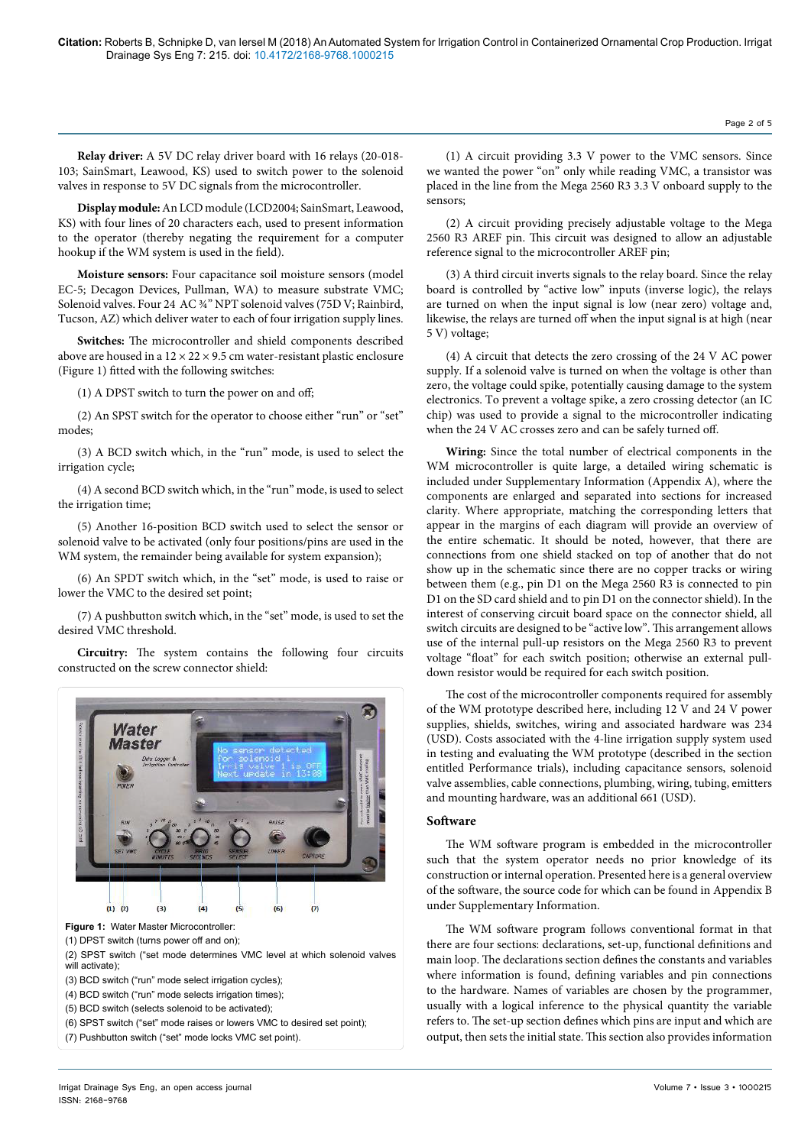**Relay driver:** A 5V DC relay driver board with 16 relays (20-018- 103; SainSmart, Leawood, KS) used to switch power to the solenoid valves in response to 5V DC signals from the microcontroller.

**Display module:** An LCD module (LCD2004; SainSmart, Leawood, KS) with four lines of 20 characters each, used to present information to the operator (thereby negating the requirement for a computer hookup if the WM system is used in the field).

**Moisture sensors:** Four capacitance soil moisture sensors (model EC-5; Decagon Devices, Pullman, WA) to measure substrate VMC; Solenoid valves. Four 24 AC ¾" NPT solenoid valves (75D V; Rainbird, Tucson, AZ) which deliver water to each of four irrigation supply lines.

**Switches:** The microcontroller and shield components described above are housed in a  $12 \times 22 \times 9.5$  cm water-resistant plastic enclosure (Figure 1) fitted with the following switches:

(1) A DPST switch to turn the power on and off;

(2) An SPST switch for the operator to choose either "run" or "set" modes;

(3) A BCD switch which, in the "run" mode, is used to select the irrigation cycle;

(4) A second BCD switch which, in the "run" mode, is used to select the irrigation time;

(5) Another 16-position BCD switch used to select the sensor or solenoid valve to be activated (only four positions/pins are used in the WM system, the remainder being available for system expansion);

(6) An SPDT switch which, in the "set" mode, is used to raise or lower the VMC to the desired set point;

(7) A pushbutton switch which, in the "set" mode, is used to set the desired VMC threshold.

**Circuitry:** The system contains the following four circuits constructed on the screw connector shield:



(2) SPST switch ("set mode determines VMC level at which solenoid valves will activate);

(3) BCD switch ("run" mode select irrigation cycles);

(4) BCD switch ("run" mode selects irrigation times);

(5) BCD switch (selects solenoid to be activated);

(6) SPST switch ("set" mode raises or lowers VMC to desired set point);

(7) Pushbutton switch ("set" mode locks VMC set point).

(1) A circuit providing 3.3 V power to the VMC sensors. Since we wanted the power "on" only while reading VMC, a transistor was placed in the line from the Mega 2560 R3 3.3 V onboard supply to the sensors;

(2) A circuit providing precisely adjustable voltage to the Mega 2560 R3 AREF pin. This circuit was designed to allow an adjustable reference signal to the microcontroller AREF pin;

(3) A third circuit inverts signals to the relay board. Since the relay board is controlled by "active low" inputs (inverse logic), the relays are turned on when the input signal is low (near zero) voltage and, likewise, the relays are turned off when the input signal is at high (near 5 V) voltage;

(4) A circuit that detects the zero crossing of the 24 V AC power supply. If a solenoid valve is turned on when the voltage is other than zero, the voltage could spike, potentially causing damage to the system electronics. To prevent a voltage spike, a zero crossing detector (an IC chip) was used to provide a signal to the microcontroller indicating when the 24 V AC crosses zero and can be safely turned off.

**Wiring:** Since the total number of electrical components in the WM microcontroller is quite large, a detailed wiring schematic is included under Supplementary Information (Appendix A), where the components are enlarged and separated into sections for increased clarity. Where appropriate, matching the corresponding letters that appear in the margins of each diagram will provide an overview of the entire schematic. It should be noted, however, that there are connections from one shield stacked on top of another that do not show up in the schematic since there are no copper tracks or wiring between them (e.g., pin D1 on the Mega 2560 R3 is connected to pin D1 on the SD card shield and to pin D1 on the connector shield). In the interest of conserving circuit board space on the connector shield, all switch circuits are designed to be "active low". This arrangement allows use of the internal pull-up resistors on the Mega 2560 R3 to prevent voltage "float" for each switch position; otherwise an external pulldown resistor would be required for each switch position.

The cost of the microcontroller components required for assembly of the WM prototype described here, including 12 V and 24 V power supplies, shields, switches, wiring and associated hardware was 234 (USD). Costs associated with the 4-line irrigation supply system used in testing and evaluating the WM prototype (described in the section entitled Performance trials), including capacitance sensors, solenoid valve assemblies, cable connections, plumbing, wiring, tubing, emitters and mounting hardware, was an additional 661 (USD).

#### **Software**

The WM software program is embedded in the microcontroller such that the system operator needs no prior knowledge of its construction or internal operation. Presented here is a general overview of the software, the source code for which can be found in Appendix B under Supplementary Information.

The WM software program follows conventional format in that there are four sections: declarations, set-up, functional definitions and main loop. The declarations section defines the constants and variables where information is found, defining variables and pin connections to the hardware. Names of variables are chosen by the programmer, usually with a logical inference to the physical quantity the variable refers to. The set-up section defines which pins are input and which are output, then sets the initial state. This section also provides information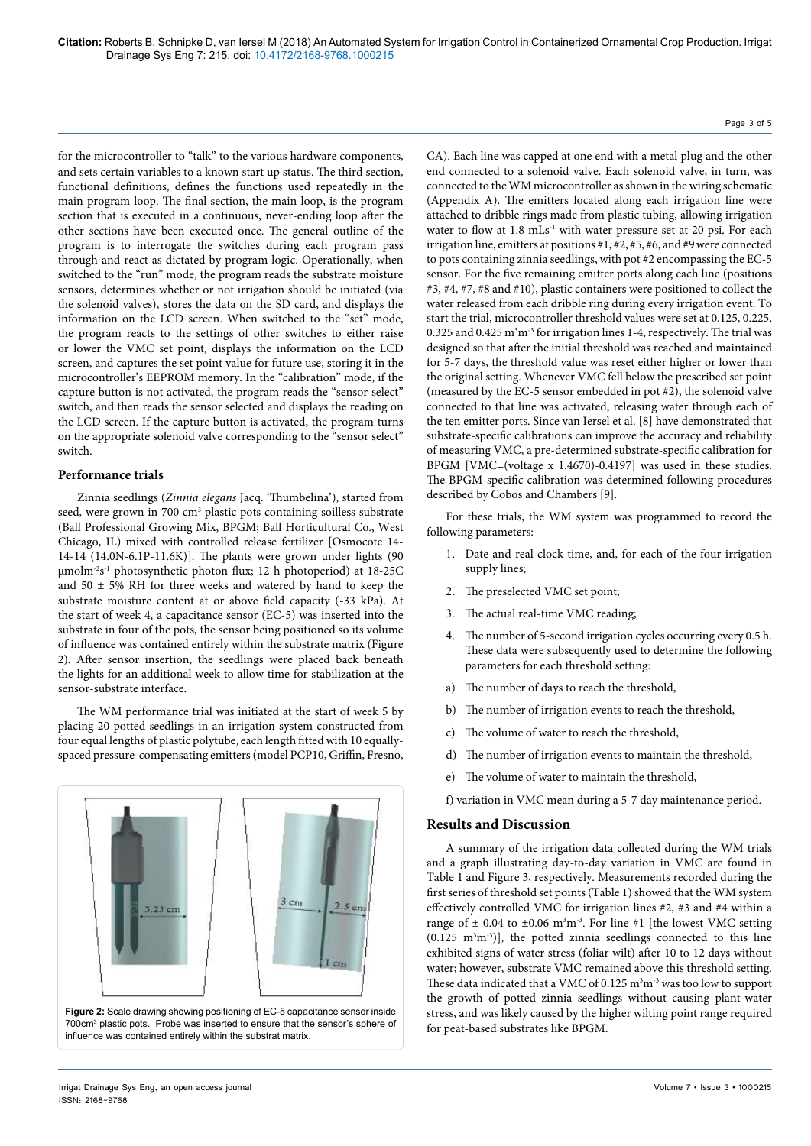for the microcontroller to "talk" to the various hardware components, and sets certain variables to a known start up status. The third section, functional definitions, defines the functions used repeatedly in the main program loop. The final section, the main loop, is the program section that is executed in a continuous, never-ending loop after the other sections have been executed once. The general outline of the program is to interrogate the switches during each program pass through and react as dictated by program logic. Operationally, when switched to the "run" mode, the program reads the substrate moisture sensors, determines whether or not irrigation should be initiated (via the solenoid valves), stores the data on the SD card, and displays the information on the LCD screen. When switched to the "set" mode, the program reacts to the settings of other switches to either raise or lower the VMC set point, displays the information on the LCD screen, and captures the set point value for future use, storing it in the microcontroller's EEPROM memory. In the "calibration" mode, if the capture button is not activated, the program reads the "sensor select" switch, and then reads the sensor selected and displays the reading on the LCD screen. If the capture button is activated, the program turns on the appropriate solenoid valve corresponding to the "sensor select" switch.

#### **Performance trials**

Zinnia seedlings (*Zinnia elegans* Jacq. 'Thumbelina'), started from seed, were grown in 700 cm<sup>3</sup> plastic pots containing soilless substrate (Ball Professional Growing Mix, BPGM; Ball Horticultural Co., West Chicago, IL) mixed with controlled release fertilizer [Osmocote 14- 14-14 (14.0N-6.1P-11.6K)]. The plants were grown under lights (90 µmolm-2s-1 photosynthetic photon flux; 12 h photoperiod) at 18-25C and  $50 \pm 5\%$  RH for three weeks and watered by hand to keep the substrate moisture content at or above field capacity (-33 kPa). At the start of week 4, a capacitance sensor (EC-5) was inserted into the substrate in four of the pots, the sensor being positioned so its volume of influence was contained entirely within the substrate matrix (Figure 2). After sensor insertion, the seedlings were placed back beneath the lights for an additional week to allow time for stabilization at the sensor-substrate interface.

The WM performance trial was initiated at the start of week 5 by placing 20 potted seedlings in an irrigation system constructed from four equal lengths of plastic polytube, each length fitted with 10 equallyspaced pressure-compensating emitters (model PCP10, Griffin, Fresno,



CA). Each line was capped at one end with a metal plug and the other end connected to a solenoid valve. Each solenoid valve, in turn, was connected to the WM microcontroller as shown in the wiring schematic (Appendix A). The emitters located along each irrigation line were attached to dribble rings made from plastic tubing, allowing irrigation water to flow at 1.8 mLs<sup>-1</sup> with water pressure set at 20 psi. For each irrigation line, emitters at positions #1, #2, #5, #6, and #9 were connected to pots containing zinnia seedlings, with pot #2 encompassing the EC-5 sensor. For the five remaining emitter ports along each line (positions #3, #4, #7, #8 and #10), plastic containers were positioned to collect the water released from each dribble ring during every irrigation event. To start the trial, microcontroller threshold values were set at 0.125, 0.225, 0.325 and 0.425  $m<sup>3</sup>m<sup>-3</sup>$  for irrigation lines 1-4, respectively. The trial was designed so that after the initial threshold was reached and maintained for 5-7 days, the threshold value was reset either higher or lower than the original setting. Whenever VMC fell below the prescribed set point (measured by the EC-5 sensor embedded in pot #2), the solenoid valve connected to that line was activated, releasing water through each of the ten emitter ports. Since van Iersel et al. [8] have demonstrated that substrate-specific calibrations can improve the accuracy and reliability of measuring VMC, a pre-determined substrate-specific calibration for BPGM [VMC=(voltage x 1.4670)-0.4197] was used in these studies. The BPGM-specific calibration was determined following procedures described by Cobos and Chambers [9].

For these trials, the WM system was programmed to record the following parameters:

- 1. Date and real clock time, and, for each of the four irrigation supply lines;
- 2. The preselected VMC set point;
- 3. The actual real-time VMC reading;
- 4. The number of 5-second irrigation cycles occurring every 0.5 h. These data were subsequently used to determine the following parameters for each threshold setting:
- a) The number of days to reach the threshold,
- The number of irrigation events to reach the threshold,
- c) The volume of water to reach the threshold,
- d) The number of irrigation events to maintain the threshold,
- e) The volume of water to maintain the threshold,
- f) variation in VMC mean during a 5-7 day maintenance period.

# **Results and Discussion**

A summary of the irrigation data collected during the WM trials and a graph illustrating day-to-day variation in VMC are found in Table 1 and Figure 3, respectively. Measurements recorded during the first series of threshold set points (Table 1) showed that the WM system effectively controlled VMC for irrigation lines #2, #3 and #4 within a range of  $\pm$  0.04 to  $\pm$ 0.06 m<sup>3</sup>m<sup>-3</sup>. For line #1 [the lowest VMC setting  $(0.125 \text{ m}^3 \text{m}^{-3})$ ], the potted zinnia seedlings connected to this line exhibited signs of water stress (foliar wilt) after 10 to 12 days without water; however, substrate VMC remained above this threshold setting. These data indicated that a VMC of  $0.125 \text{ m}^3\text{m}^3$  was too low to support the growth of potted zinnia seedlings without causing plant-water stress, and was likely caused by the higher wilting point range required for peat-based substrates like BPGM.

#### Page 3 of 5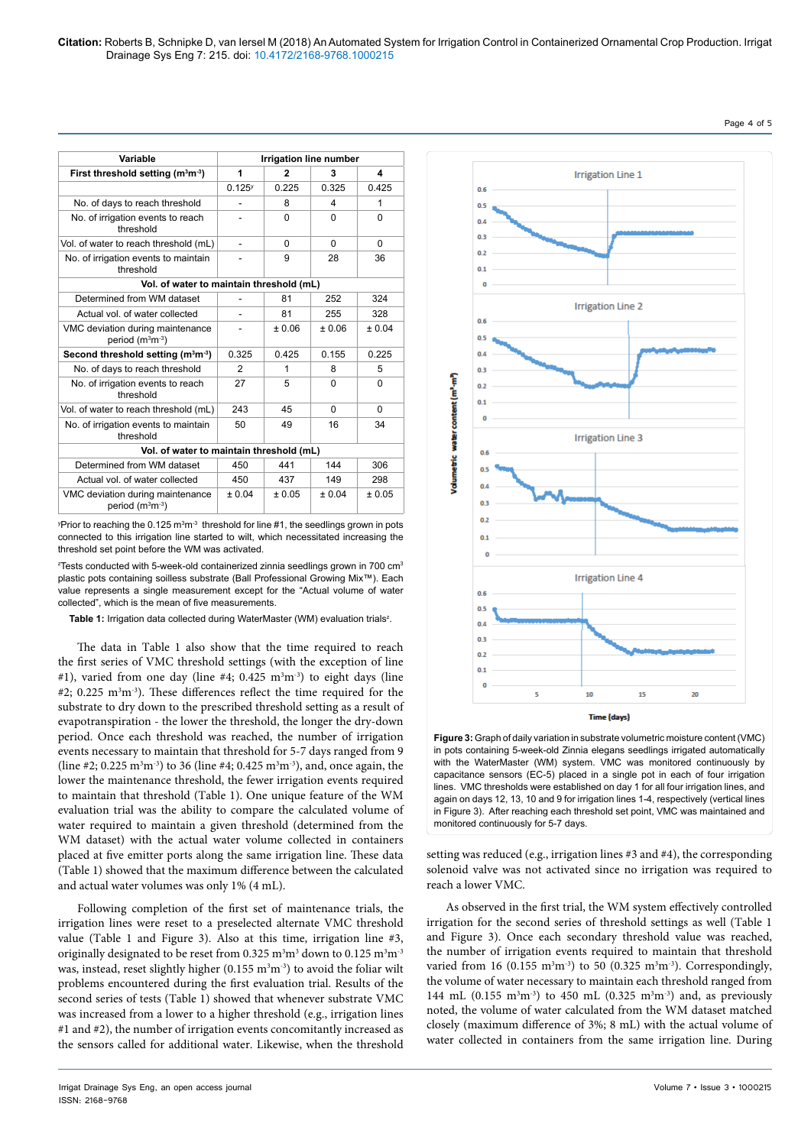| Variable                                                   | <b>Irrigation line number</b> |              |          |          |
|------------------------------------------------------------|-------------------------------|--------------|----------|----------|
| First threshold setting (m <sup>3</sup> m <sup>-3</sup> )  | 1                             | $\mathbf{2}$ | 3        | 4        |
|                                                            | $0.125^{y}$                   | 0.225        | 0.325    | 0.425    |
| No. of days to reach threshold                             |                               | 8            | 4        | 1        |
| No. of irrigation events to reach<br>threshold             |                               | $\Omega$     | $\Omega$ | $\Omega$ |
| Vol. of water to reach threshold (mL)                      | ÷,                            | $\Omega$     | $\Omega$ | $\Omega$ |
| No. of irrigation events to maintain<br>threshold          |                               | 9            | 28       | 36       |
| Vol. of water to maintain threshold (mL)                   |                               |              |          |          |
| Determined from WM dataset                                 |                               | 81           | 252      | 324      |
| Actual vol. of water collected                             |                               | 81           | 255      | 328      |
| VMC deviation during maintenance<br>period $(m3m-3)$       |                               | ± 0.06       | ± 0.06   | ± 0.04   |
| Second threshold setting (m <sup>3</sup> m <sup>-3</sup> ) | 0.325                         | 0.425        | 0.155    | 0.225    |
| No. of days to reach threshold                             | 2                             | 1            | 8        | 5        |
| No. of irrigation events to reach<br>threshold             | 27                            | 5            | $\Omega$ | 0        |
| Vol. of water to reach threshold (mL)                      | 243                           | 45           | $\Omega$ | $\Omega$ |
| No. of irrigation events to maintain<br>threshold          | 50                            | 49           | 16       | 34       |
| Vol. of water to maintain threshold (mL)                   |                               |              |          |          |
| Determined from WM dataset                                 | 450                           | 441          | 144      | 306      |
| Actual vol. of water collected                             | 450                           | 437          | 149      | 298      |
| VMC deviation during maintenance<br>period $(m^3m^{-3})$   | ± 0.04                        | ± 0.05       | ± 0.04   | ± 0.05   |

 $\rm vP$ rior to reaching the 0.125 m $\rm {}^{3}m^3$  threshold for line #1, the seedlings grown in pots connected to this irrigation line started to wilt, which necessitated increasing the threshold set point before the WM was activated.

 $^{\text{z}}$ Tests conducted with 5-week-old containerized zinnia seedlings grown in 700 cm $^{\text{3}}$ plastic pots containing soilless substrate (Ball Professional Growing Mix™). Each value represents a single measurement except for the "Actual volume of water collected", which is the mean of five measurements.

Table 1: Irrigation data collected during WaterMaster (WM) evaluation trials<sup>z</sup>.

The data in Table 1 also show that the time required to reach the first series of VMC threshold settings (with the exception of line #1), varied from one day (line #4;  $0.425 \text{ m}^3\text{m}^{-3}$ ) to eight days (line  $#2$ ; 0.225 m<sup>3</sup>m<sup>-3</sup>). These differences reflect the time required for the substrate to dry down to the prescribed threshold setting as a result of evapotranspiration - the lower the threshold, the longer the dry-down period. Once each threshold was reached, the number of irrigation events necessary to maintain that threshold for 5-7 days ranged from 9 (line #2; 0.225 m<sup>3</sup>m<sup>-3</sup>) to 36 (line #4; 0.425 m<sup>3</sup>m<sup>-3</sup>), and, once again, the lower the maintenance threshold, the fewer irrigation events required to maintain that threshold (Table 1). One unique feature of the WM evaluation trial was the ability to compare the calculated volume of water required to maintain a given threshold (determined from the WM dataset) with the actual water volume collected in containers placed at five emitter ports along the same irrigation line. These data (Table 1) showed that the maximum difference between the calculated and actual water volumes was only 1% (4 mL).

Following completion of the first set of maintenance trials, the irrigation lines were reset to a preselected alternate VMC threshold value (Table 1 and Figure 3). Also at this time, irrigation line #3, originally designated to be reset from  $0.325 \text{ m}^3\text{m}^3$  down to  $0.125 \text{ m}^3\text{m}^3$ was, instead, reset slightly higher (0.155  $m<sup>3</sup>m<sup>-3</sup>$ ) to avoid the foliar wilt problems encountered during the first evaluation trial. Results of the second series of tests (Table 1) showed that whenever substrate VMC was increased from a lower to a higher threshold (e.g., irrigation lines #1 and #2), the number of irrigation events concomitantly increased as the sensors called for additional water. Likewise, when the threshold



**Figure 3:** Graph of daily variation in substrate volumetric moisture content (VMC) in pots containing 5-week-old Zinnia elegans seedlings irrigated automatically with the WaterMaster (WM) system. VMC was monitored continuously by capacitance sensors (EC-5) placed in a single pot in each of four irrigation lines. VMC thresholds were established on day 1 for all four irrigation lines, and again on days 12, 13, 10 and 9 for irrigation lines 1-4, respectively (vertical lines in Figure 3). After reaching each threshold set point, VMC was maintained and monitored continuously for 5-7 days.

setting was reduced (e.g., irrigation lines #3 and #4), the corresponding solenoid valve was not activated since no irrigation was required to reach a lower VMC.

As observed in the first trial, the WM system effectively controlled irrigation for the second series of threshold settings as well (Table 1 and Figure 3). Once each secondary threshold value was reached, the number of irrigation events required to maintain that threshold varied from 16 (0.155  $\text{m}^3\text{m}^3$ ) to 50 (0.325  $\text{m}^3\text{m}^3$ ). Correspondingly, the volume of water necessary to maintain each threshold ranged from 144 mL (0.155 m<sup>3</sup>m<sup>-3</sup>) to 450 mL (0.325 m<sup>3</sup>m<sup>-3</sup>) and, as previously noted, the volume of water calculated from the WM dataset matched closely (maximum difference of 3%; 8 mL) with the actual volume of water collected in containers from the same irrigation line. During